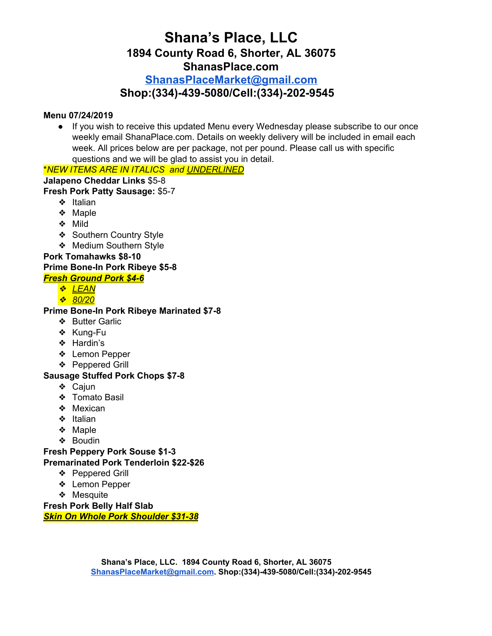# **Shana's Place, LLC 1894 County Road 6, Shorter, AL 36075 ShanasPlace.com [ShanasPlaceMarket@gmail.com](mailto:ShanasPlaceMarket@gmail.com)**

# **Shop:(334)-439-5080/Cell:(334)-202-9545**

### **Menu 07/24/2019**

● If you wish to receive this updated Menu every Wednesday please subscribe to our once weekly email ShanaPlace.com. Details on weekly delivery will be included in email each week. All prices below are per package, not per pound. Please call us with specific questions and we will be glad to assist you in detail.

# \**NEW ITEMS ARE IN ITALICS and UNDERLINED*

### **Jalapeno Cheddar Links** \$5-8

### **Fresh Pork Patty Sausage:** \$5-7

- ❖ Italian
- ❖ Maple
- ❖ Mild
- ❖ Southern Country Style
- ❖ Medium Southern Style

# **Pork Tomahawks \$8-10**

### **Prime Bone-In Pork Ribeye \$5-8**

# *Fresh Ground Pork \$4-6*

- ❖ *LEAN*
- ❖ *80/20*

### **Prime Bone-In Pork Ribeye Marinated \$7-8**

- ❖ Butter Garlic
- ❖ Kung-Fu
- ❖ Hardin's
- ❖ Lemon Pepper
- ❖ Peppered Grill

# **Sausage Stuffed Pork Chops \$7-8**

- ❖ Cajun
- ❖ Tomato Basil
- ❖ Mexican
- ❖ Italian
- ❖ Maple
- ❖ Boudin

**Fresh Peppery Pork Souse \$1-3**

### **Premarinated Pork Tenderloin \$22-\$26**

- ❖ Peppered Grill
	- ❖ Lemon Pepper
	- ❖ Mesquite

**Fresh Pork Belly Half Slab** *Skin On Whole Pork Shoulder \$31-38*

> **Shana's Place, LLC. 1894 County Road 6, Shorter, AL 36075 [ShanasPlaceMarket@gmail.com](mailto:ShanasPlaceMarket@gmail.com). Shop:(334)-439-5080/Cell:(334)-202-9545**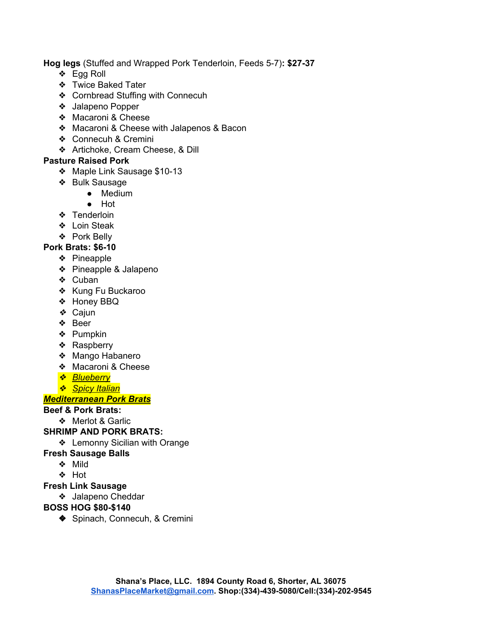**Hog legs** (Stuffed and Wrapped Pork Tenderloin, Feeds 5-7)**: \$27-37**

- ❖ Egg Roll
- ❖ Twice Baked Tater
- ❖ Cornbread Stuffing with Connecuh
- ❖ Jalapeno Popper
- ❖ Macaroni & Cheese
- ❖ Macaroni & Cheese with Jalapenos & Bacon
- ❖ Connecuh & Cremini
- ❖ Artichoke, Cream Cheese, & Dill

### **Pasture Raised Pork**

- ❖ Maple Link Sausage \$10-13
- ❖ Bulk Sausage
	- Medium
	- Hot
- ❖ Tenderloin
- ❖ Loin Steak
- ❖ Pork Belly

# **Pork Brats: \$6-10**

- ❖ Pineapple
- ❖ Pineapple & Jalapeno
- ❖ Cuban
- ❖ Kung Fu Buckaroo
- ❖ Honey BBQ
- ❖ Cajun
- ❖ Beer
- ❖ Pumpkin
- ❖ Raspberry
- ❖ Mango Habanero
- ❖ Macaroni & Cheese
- ❖ *Blueberry*
- ❖ *Spicy Italian*

# *Mediterranean Pork Brats*

# **Beef & Pork Brats:**

❖ Merlot & Garlic

# **SHRIMP AND PORK BRATS:**

❖ Lemonny Sicilian with Orange

# **Fresh Sausage Balls**

- ❖ Mild
- ❖ Hot

# **Fresh Link Sausage**

❖ Jalapeno Cheddar

# **BOSS HOG \$80-\$140**

◆ Spinach, Connecuh, & Cremini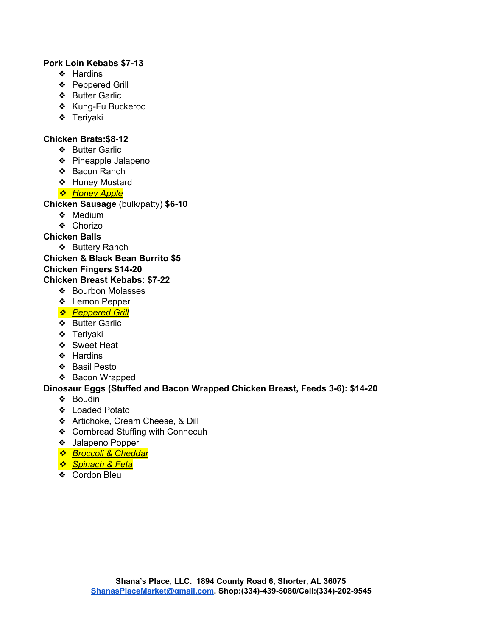### **Pork Loin Kebabs \$7-13**

- ❖ Hardins
- ❖ Peppered Grill
- ❖ Butter Garlic
- ❖ Kung-Fu Buckeroo
- ❖ Teriyaki

#### **Chicken Brats:\$8-12**

- ❖ Butter Garlic
- ❖ Pineapple Jalapeno
- ❖ Bacon Ranch
- ❖ Honey Mustard
- ❖ *Honey Apple*

#### **Chicken Sausage** (bulk/patty) **\$6-10**

- ❖ Medium
- ❖ Chorizo

### **Chicken Balls**

❖ Buttery Ranch

#### **Chicken & Black Bean Burrito \$5 Chicken Fingers \$14-20**

### **Chicken Breast Kebabs: \$7-22**

- ❖ Bourbon Molasses
- ❖ Lemon Pepper
- ❖ *Peppered Grill*
- ❖ Butter Garlic
- ❖ Teriyaki
- ❖ Sweet Heat
- ❖ Hardins
- ❖ Basil Pesto
- ❖ Bacon Wrapped

### **Dinosaur Eggs (Stuffed and Bacon Wrapped Chicken Breast, Feeds 3-6): \$14-20**

- ❖ Boudin
- ❖ Loaded Potato
- ❖ Artichoke, Cream Cheese, & Dill
- ❖ Cornbread Stuffing with Connecuh
- ❖ Jalapeno Popper
- ❖ *Broccoli & Cheddar*
- ❖ *Spinach & Feta*
- ❖ Cordon Bleu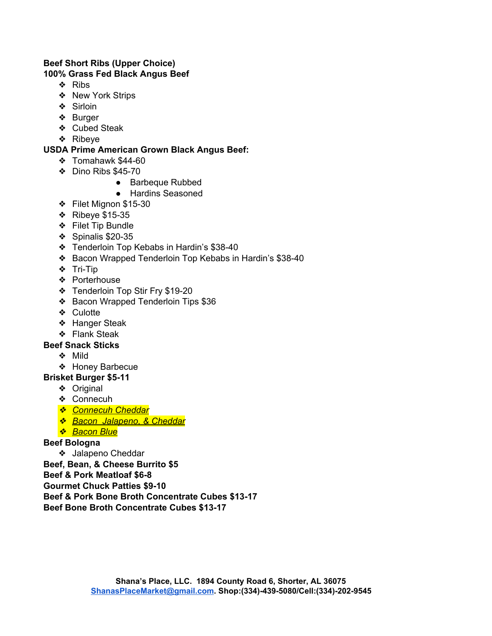#### **Beef Short Ribs (Upper Choice) 100% Grass Fed Black Angus Beef**

- ❖ Ribs
- ❖ New York Strips
- ❖ Sirloin
- ❖ Burger
- ❖ Cubed Steak
- ❖ Ribeye

# **USDA Prime American Grown Black Angus Beef:**

- ❖ Tomahawk \$44-60
- ❖ Dino Ribs \$45-70
	- Barbeque Rubbed
	- Hardins Seasoned
- ❖ Filet Mignon \$15-30
- ❖ Ribeye \$15-35
- ❖ Filet Tip Bundle
- ❖ Spinalis \$20-35
- ❖ Tenderloin Top Kebabs in Hardin's \$38-40
- ❖ Bacon Wrapped Tenderloin Top Kebabs in Hardin's \$38-40
- ❖ Tri-Tip
- ❖ Porterhouse
- ❖ Tenderloin Top Stir Fry \$19-20
- ❖ Bacon Wrapped Tenderloin Tips \$36
- ❖ Culotte
- ❖ Hanger Steak
- ❖ Flank Steak

# **Beef Snack Sticks**

- ❖ Mild
- ❖ Honey Barbecue

# **Brisket Burger \$5-11**

- ❖ Original
- ❖ Connecuh
- ❖ *Connecuh Cheddar*
- ❖ *Bacon Jalapeno, & Cheddar*
- ❖ *Bacon Blue*

# **Beef Bologna**

❖ Jalapeno Cheddar

**Beef, Bean, & Cheese Burrito \$5**

**Beef & Pork Meatloaf \$6-8**

**Gourmet Chuck Patties \$9-10**

- **Beef & Pork Bone Broth Concentrate Cubes \$13-17**
- **Beef Bone Broth Concentrate Cubes \$13-17**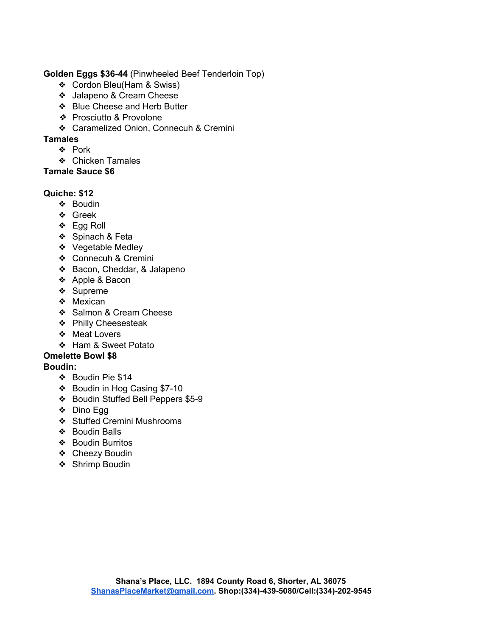### **Golden Eggs \$36-44** (Pinwheeled Beef Tenderloin Top)

- ❖ Cordon Bleu(Ham & Swiss)
- ❖ Jalapeno & Cream Cheese
- ❖ Blue Cheese and Herb Butter
- ❖ Prosciutto & Provolone
- ❖ Caramelized Onion, Connecuh & Cremini

### **Tamales**

- ❖ Pork
- ❖ Chicken Tamales

### **Tamale Sauce \$6**

### **Quiche: \$12**

- ❖ Boudin
- ❖ Greek
- ❖ Egg Roll
- ❖ Spinach & Feta
- ❖ Vegetable Medley
- ❖ Connecuh & Cremini
- ❖ Bacon, Cheddar, & Jalapeno
- ❖ Apple & Bacon
- ❖ Supreme
- ❖ Mexican
- ❖ Salmon & Cream Cheese
- ❖ Philly Cheesesteak
- ❖ Meat Lovers
- ❖ Ham & Sweet Potato

# **Omelette Bowl \$8**

# **Boudin:**

- ❖ Boudin Pie \$14
- ❖ Boudin in Hog Casing \$7-10
- ❖ Boudin Stuffed Bell Peppers \$5-9
- ❖ Dino Egg
- ❖ Stuffed Cremini Mushrooms
- ❖ Boudin Balls
- ❖ Boudin Burritos
- ❖ Cheezy Boudin
- ❖ Shrimp Boudin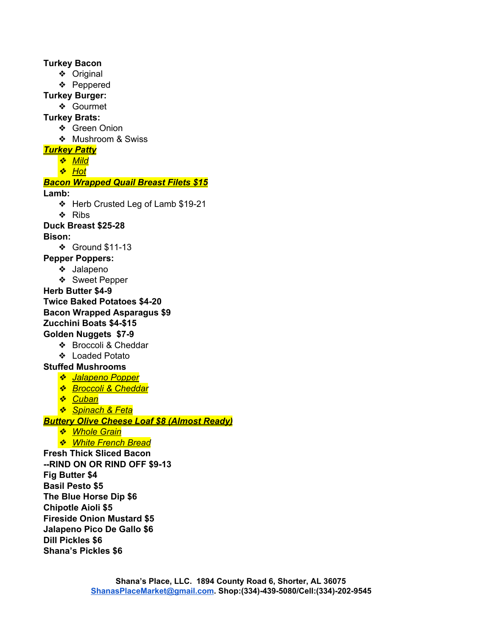**Turkey Bacon** ❖ Original ❖ Peppered **Turkey Burger:** ❖ Gourmet **Turkey Brats:** ❖ Green Onion ❖ Mushroom & Swiss *Turkey Patty* ❖ *Mild* ❖ *Hot Bacon Wrapped Quail Breast Filets \$15* **Lamb:** ❖ Herb Crusted Leg of Lamb \$19-21 ❖ Ribs **Duck Breast \$25-28 Bison:** ❖ Ground \$11-13 **Pepper Poppers:** ❖ Jalapeno ❖ Sweet Pepper **Herb Butter \$4-9 Twice Baked Potatoes \$4-20 Bacon Wrapped Asparagus \$9 Zucchini Boats \$4-\$15 Golden Nuggets \$7-9** ❖ Broccoli & Cheddar ❖ Loaded Potato **Stuffed Mushrooms** ❖ *Jalapeno Popper* ❖ *Broccoli & Cheddar* ❖ *Cuban* ❖ *Spinach & Feta Buttery Olive Cheese Loaf \$8 (Almost Ready)* ❖ *Whole Grain* ❖ *White French Bread* **Fresh Thick Sliced Bacon --RIND ON OR RIND OFF \$9-13 Fig Butter \$4 Basil Pesto \$5 The Blue Horse Dip \$6 Chipotle Aioli \$5 Fireside Onion Mustard \$5 Jalapeno Pico De Gallo \$6 Dill Pickles \$6 Shana's Pickles \$6**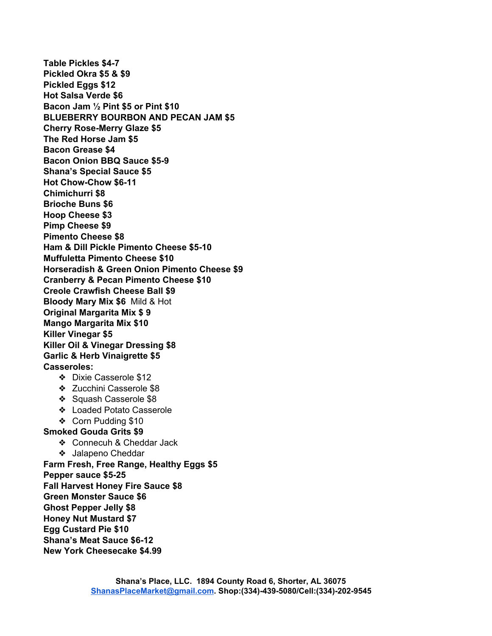**Table Pickles \$4-7 Pickled Okra \$5 & \$9 Pickled Eggs \$12 Hot Salsa Verde \$6 Bacon Jam ½ Pint \$5 or Pint \$10 BLUEBERRY BOURBON AND PECAN JAM \$5 Cherry Rose-Merry Glaze \$5 The Red Horse Jam \$5 Bacon Grease \$4 Bacon Onion BBQ Sauce \$5-9 Shana's Special Sauce \$5 Hot Chow-Chow \$6-11 Chimichurri \$8 Brioche Buns \$6 Hoop Cheese \$3 Pimp Cheese \$9 Pimento Cheese \$8 Ham & Dill Pickle Pimento Cheese \$5-10 Muffuletta Pimento Cheese \$10 Horseradish & Green Onion Pimento Cheese \$9 Cranberry & Pecan Pimento Cheese \$10 Creole Crawfish Cheese Ball \$9 Bloody Mary Mix \$6** Mild & Hot **Original Margarita Mix \$ 9 Mango Margarita Mix \$10 Killer Vinegar \$5 Killer Oil & Vinegar Dressing \$8 Garlic & Herb Vinaigrette \$5 Casseroles:** ❖ Dixie Casserole \$12 ❖ Zucchini Casserole \$8 ❖ Squash Casserole \$8 ❖ Loaded Potato Casserole ❖ Corn Pudding \$10 **Smoked Gouda Grits \$9** ❖ Connecuh & Cheddar Jack ❖ Jalapeno Cheddar **Farm Fresh, Free Range, Healthy Eggs \$5 Pepper sauce \$5-25 Fall Harvest Honey Fire Sauce \$8 Green Monster Sauce \$6 Ghost Pepper Jelly \$8 Honey Nut Mustard \$7 Egg Custard Pie \$10 Shana's Meat Sauce \$6-12**

**New York Cheesecake \$4.99**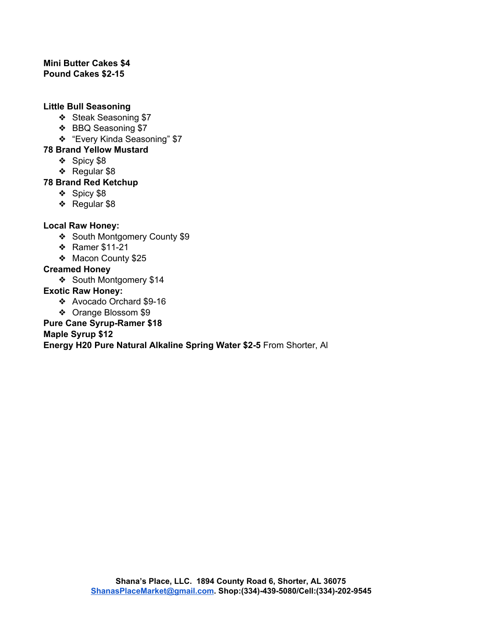#### **Mini Butter Cakes \$4 Pound Cakes \$2-15**

### **Little Bull Seasoning**

- ❖ Steak Seasoning \$7
- ❖ BBQ Seasoning \$7
- ❖ "Every Kinda Seasoning" \$7

### **78 Brand Yellow Mustard**

- ❖ Spicy \$8
- ❖ Regular \$8

# **78 Brand Red Ketchup**

- ❖ Spicy \$8
- ❖ Regular \$8

# **Local Raw Honey:**

- ❖ South Montgomery County \$9
- ❖ Ramer \$11-21
- ❖ Macon County \$25

# **Creamed Honey**

❖ South Montgomery \$14

### **Exotic Raw Honey:**

- ❖ Avocado Orchard \$9-16
- ❖ Orange Blossom \$9

### **Pure Cane Syrup-Ramer \$18**

# **Maple Syrup \$12**

**Energy H20 Pure Natural Alkaline Spring Water \$2-5** From Shorter, Al